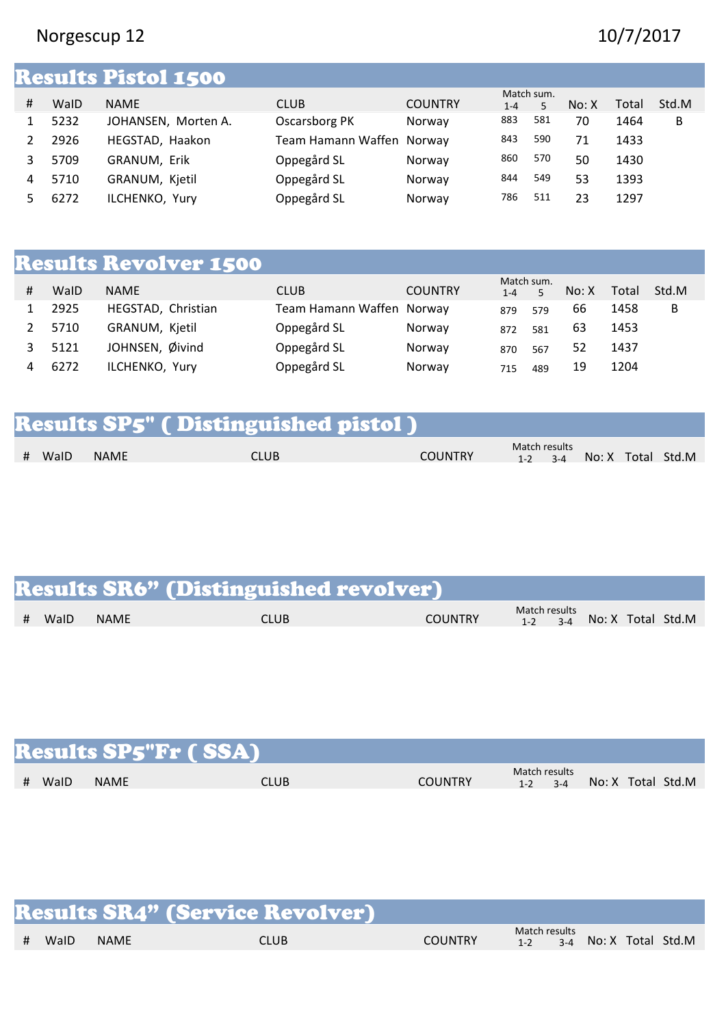## Norgescup 12 10/7/2017

|   |      | <b>Results Pistol 1500</b> |                           |                |                       |     |       |       |       |
|---|------|----------------------------|---------------------------|----------------|-----------------------|-----|-------|-------|-------|
| # | WalD | <b>NAME</b>                | <b>CLUB</b>               | <b>COUNTRY</b> | Match sum.<br>$1 - 4$ | 5   | No: X | Total | Std.M |
|   | 5232 | JOHANSEN, Morten A.        | Oscarsborg PK             | Norway         | 883                   | 581 | 70    | 1464  | В     |
|   | 2926 | HEGSTAD, Haakon            | Team Hamann Waffen Norway |                | 843                   | 590 | 71    | 1433  |       |
|   | 5709 | GRANUM, Erik               | Oppegård SL               | Norway         | 860                   | 570 | 50    | 1430  |       |
| 4 | 5710 | GRANUM, Kjetil             | Oppegård SL               | Norway         | 844                   | 549 | 53    | 1393  |       |
|   | 6272 | ILCHENKO, Yury             | Oppegård SL               | Norway         | 786                   | 511 | 23    | 1297  |       |
|   |      |                            |                           |                |                       |     |       |       |       |

## Results Revolver 1500

| # | WalD | <b>NAME</b>        | CLUB                      | <b>COUNTRY</b> | Match sum.<br>$1 - 4$ |     | No: X | Total | Std.M |
|---|------|--------------------|---------------------------|----------------|-----------------------|-----|-------|-------|-------|
|   | 2925 | HEGSTAD, Christian | Team Hamann Waffen Norway |                | 879                   | 579 | 66    | 1458  | В     |
|   | 5710 | GRANUM, Kjetil     | Oppegård SL               | Norway         | 872                   | 581 | 63    | 1453  |       |
|   | 5121 | JOHNSEN, Øivind    | Oppegård SL               | Norway         | 870                   | 567 | 52    | 1437  |       |
|   | 6272 | ILCHENKO, Yury     | Oppegård SL               | Norway         | 715                   | 489 | 19    | 1204  |       |

|        |             | <b>Results SP5" (Distinguished pistol)</b> |                |               |  |                               |
|--------|-------------|--------------------------------------------|----------------|---------------|--|-------------------------------|
| # WaID | <b>NAME</b> | <b>CLUB</b>                                | <b>COUNTRY</b> | Match results |  | $1-2$ $3-4$ No: X Total Std.M |

|        |             | <b>Results SR6" (Distinguished revolver)</b> |                |                                                |
|--------|-------------|----------------------------------------------|----------------|------------------------------------------------|
| # WaID | <b>NAME</b> | CLUB                                         | <b>COUNTRY</b> | Match results<br>$1-2$ $3-4$ No: X Total Std.M |

|           |             | <b>Results SP5"Fr (SSA)</b> |                |                              |                   |
|-----------|-------------|-----------------------------|----------------|------------------------------|-------------------|
| WalD<br># | <b>NAME</b> | <b>CLUB</b>                 | <b>COUNTRY</b> | Match results<br>$1-2$ $3-4$ | No: X Total Std.M |

|      |             | <b>Results SR4" (Service Revolver)</b> |                |               |                               |  |
|------|-------------|----------------------------------------|----------------|---------------|-------------------------------|--|
| WalD | <b>NAME</b> | CLUB                                   | <b>COUNTRY</b> | Match results | $1-2$ $3-4$ No: X Total Std.M |  |